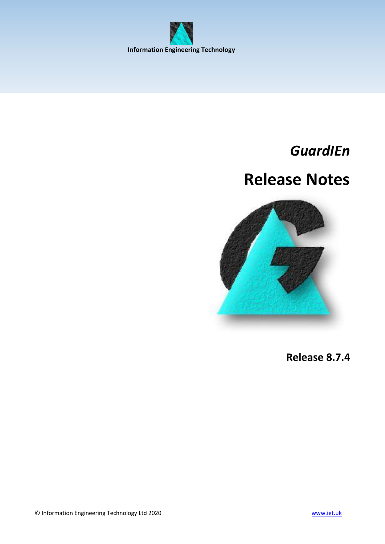<span id="page-0-0"></span>

## *GuardIEn*

# **Release Notes**



**Release 8.7.4**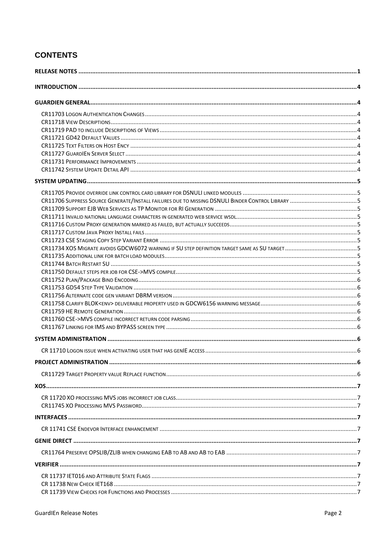## **CONTENTS**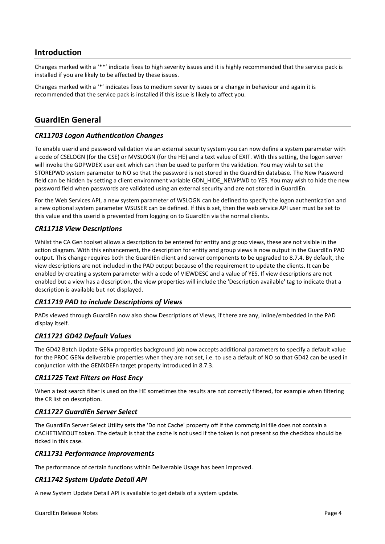## <span id="page-3-0"></span>**Introduction**

Changes marked with a '\*\*' indicate fixes to high severity issues and it is highly recommended that the service pack is installed if you are likely to be affected by these issues.

Changes marked with a '\*' indicates fixes to medium severity issues or a change in behaviour and again it is recommended that the service pack is installed if this issue is likely to affect you.

## <span id="page-3-1"></span>**GuardIEn General**

## <span id="page-3-2"></span>*CR11703 Logon Authentication Changes*

To enable userid and password validation via an external security system you can now define a system parameter with a code of CSELOGN (for the CSE) or MVSLOGN (for the HE) and a text value of EXIT. With this setting, the logon server will invoke the GDPWDEX user exit which can then be used to perform the validation. You may wish to set the STOREPWD system parameter to NO so that the password is not stored in the GuardIEn database. The New Password field can be hidden by setting a client environment variable GDN\_HIDE\_NEWPWD to YES. You may wish to hide the new password field when passwords are validated using an external security and are not stored in GuardIEn.

For the Web Services API, a new system parameter of WSLOGN can be defined to specify the logon authentication and a new optional system parameter WSUSER can be defined. If this is set, then the web service API user must be set to this value and this userid is prevented from logging on to GuardIEn via the normal clients.

## <span id="page-3-3"></span>*CR11718 View Descriptions*

Whilst the CA Gen toolset allows a description to be entered for entity and group views, these are not visible in the action diagram. With this enhancement, the description for entity and group views is now output in the GuardIEn PAD output. This change requires both the GuardIEn client and server components to be upgraded to 8.7.4. By default, the view descriptions are not included in the PAD output because of the requirement to update the clients. It can be enabled by creating a system parameter with a code of VIEWDESC and a value of YES. If view descriptions are not enabled but a view has a description, the view properties will include the 'Description available' tag to indicate that a description is available but not displayed.

## <span id="page-3-4"></span>*CR11719 PAD to include Descriptions of Views*

PADs viewed through GuardIEn now also show Descriptions of Views, if there are any, inline/embedded in the PAD display itself.

## <span id="page-3-5"></span>*CR11721 GD42 Default Values*

The GD42 Batch Update GENx properties background job now accepts additional parameters to specify a default value for the PROC GENx deliverable properties when they are not set, i.e. to use a default of NO so that GD42 can be used in conjunction with the GENXDEFn target property introduced in 8.7.3.

## <span id="page-3-6"></span>*CR11725 Text Filters on Host Ency*

When a text search filter is used on the HE sometimes the results are not correctly filtered, for example when filtering the CR list on description.

## <span id="page-3-7"></span>*CR11727 GuardIEn Server Select*

The GuardIEn Server Select Utility sets the 'Do not Cache' property off if the commcfg.ini file does not contain a CACHETIMEOUT token. The default is that the cache is not used if the token is not present so the checkbox should be ticked in this case.

## <span id="page-3-8"></span>*CR11731 Performance Improvements*

The performance of certain functions within Deliverable Usage has been improved.

## <span id="page-3-9"></span>*CR11742 System Update Detail API*

A new System Update Detail API is available to get details of a system update.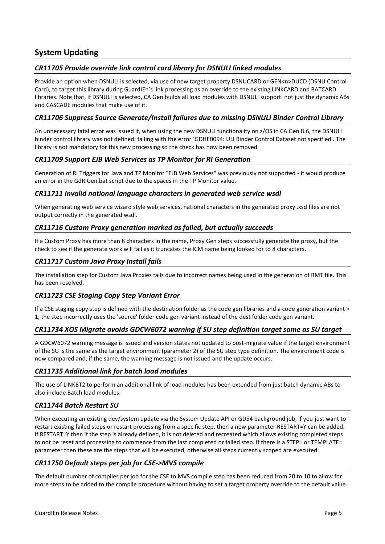## <span id="page-4-0"></span>**System Updating**

## <span id="page-4-1"></span>*CR11705 Provide override link control card library for DSNULI linked modules*

Provide an option when DSNULI is selected, via use of new target property DSNUCARD or GEN<n>DUCD (DSNU Control Card), to target this library during GuardIEn's link processing as an override to the existing LINKCARD and BATCARD libraries. Note that, if DSNULI is selected, CA Gen builds all load modules with DSNULI support: not just the dynamic ABs and CASCADE modules that make use of it.

## <span id="page-4-2"></span>*CR11706 Suppress Source Generate/Install failures due to missing DSNULI Binder Control Library*

An unnecessary fatal error was issued if, when using the new DSNULI functionality on z/OS in CA Gen 8.6, the DSNULI binder control library was not defined: failing with the error 'GDHE0094: ULI Binder Control Dataset not specified'. The library is not mandatory for this new processing so the check has now been removed.

## <span id="page-4-3"></span>*CR11709 Support EJB Web Services as TP Monitor for RI Generation*

Generation of RI Triggers for Java and TP Monitor "EJB Web Services" was previously not supported - it would produce an error in the GdRIGen.bat script due to the spaces in the TP Monitor value.

## <span id="page-4-4"></span>*CR11711 Invalid national language characters in generated web service wsdl*

When generating web service wizard style web services, national characters in the generated proxy .xsd files are not output correctly in the generated wsdl.

## <span id="page-4-5"></span>*CR11716 Custom Proxy generation marked as failed, but actually succeeds*

If a Custom Proxy has more than 8 characters in the name, Proxy Gen steps successfully generate the proxy, but the check to see if the generate work will fail as it truncates the ICM name being looked for to 8 characters.

## <span id="page-4-6"></span>*CR11717 Custom Java Proxy Install fails*

The installation step for Custom Java Proxies fails due to incorrect names being used in the generation of RMT file. This has been resolved.

## <span id="page-4-7"></span>*CR11723 CSE Staging Copy Step Variant Error*

If a CSE staging copy step is defined with the destination folder as the code gen libraries and a code generation variant > 1, the step incorrectly uses the 'source' folder code gen variant instead of the dest folder code gen variant.

## <span id="page-4-8"></span>*CR11734 XOS Migrate avoids GDCW6072 warning if SU step definition target same as SU target*

A GDCW6072 warning message is issued and version states not updated to post-migrate value if the target environment of the SU is the same as the target environment (parameter 2) of the SU step type definition. The environment code is now compared and, if the same, the warning message is not issued and the update occurs.

## <span id="page-4-9"></span>*CR11735 Additional link for batch load modules*

The use of LINKBT2 to perform an additional link of load modules has been extended from just batch dynamic ABs to also include Batch load modules.

## <span id="page-4-10"></span>*CR11744 Batch Restart SU*

When executing an existing dev/system update via the System Update API or GD54 background job, if you just want to restart existing failed steps or restart processing from a specific step, then a new parameter RESTART=Y can be added. If RESTART=Y then if the step is already defined, it is not deleted and recreated which allows existing completed steps to not be reset and processing to commence from the last completed or failed step. If there is a STEP= or TEMPLATE= parameter then these are the steps that will be executed, otherwise all steps currently scoped are executed.

## <span id="page-4-11"></span>*CR11750 Default steps per job for CSE->MVS compile*

The default number of compiles per job for the CSE to MVS compile step has been reduced from 20 to 10 to allow for more steps to be added to the compile procedure without having to set a target property override to the default value.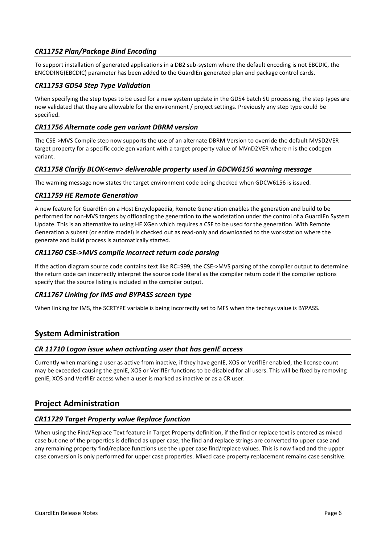## <span id="page-5-0"></span>*CR11752 Plan/Package Bind Encoding*

To support installation of generated applications in a DB2 sub-system where the default encoding is not EBCDIC, the ENCODING(EBCDIC) parameter has been added to the GuardIEn generated plan and package control cards.

## <span id="page-5-1"></span>*CR11753 GD54 Step Type Validation*

When specifying the step types to be used for a new system update in the GD54 batch SU processing, the step types are now validated that they are allowable for the environment / project settings. Previously any step type could be specified.

## <span id="page-5-2"></span>*CR11756 Alternate code gen variant DBRM version*

The CSE->MVS Compile step now supports the use of an alternate DBRM Version to override the default MVSD2VER target property for a specific code gen variant with a target property value of MVnD2VER where n is the codegen variant.

## <span id="page-5-3"></span>*CR11758 Clarify BLOK<env> deliverable property used in GDCW6156 warning message*

The warning message now states the target environment code being checked when GDCW6156 is issued.

## <span id="page-5-4"></span>*CR11759 HE Remote Generation*

A new feature for GuardIEn on a Host Encyclopaedia, Remote Generation enables the generation and build to be performed for non-MVS targets by offloading the generation to the workstation under the control of a GuardIEn System Update. This is an alternative to using HE XGen which requires a CSE to be used for the generation. With Remote Generation a subset (or entire model) is checked out as read-only and downloaded to the workstation where the generate and build process is automatically started.

## <span id="page-5-5"></span>*CR11760 CSE->MVS compile incorrect return code parsing*

If the action diagram source code contains text like RC=999, the CSE->MVS parsing of the compiler output to determine the return code can incorrectly interpret the source code literal as the compiler return code if the compiler options specify that the source listing is included in the compiler output.

## <span id="page-5-6"></span>*CR11767 Linking for IMS and BYPASS screen type*

When linking for IMS, the SCRTYPE variable is being incorrectly set to MFS when the techsys value is BYPASS.

## <span id="page-5-7"></span>**System Administration**

## <span id="page-5-8"></span>*CR 11710 Logon issue when activating user that has genIE access*

Currently when marking a user as active from inactive, if they have genIE, XOS or VerifIEr enabled, the license count may be exceeded causing the genIE, XOS or VerifIEr functions to be disabled for all users. This will be fixed by removing genIE, XOS and VerifIEr access when a user is marked as inactive or as a CR user.

## <span id="page-5-9"></span>**Project Administration**

## <span id="page-5-10"></span>*CR11729 Target Property value Replace function*

When using the Find/Replace Text feature in Target Property definition, if the find or replace text is entered as mixed case but one of the properties is defined as upper case, the find and replace strings are converted to upper case and any remaining property find/replace functions use the upper case find/replace values. This is now fixed and the upper case conversion is only performed for upper case properties. Mixed case property replacement remains case sensitive.